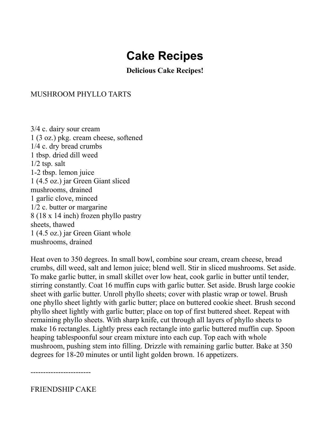# **Cake Recipes**

**Delicious Cake Recipes!**

# MUSHROOM PHYLLO TARTS

3/4 c. dairy sour cream 1 (3 oz.) pkg. cream cheese, softened 1/4 c. dry bread crumbs 1 tbsp. dried dill weed 1/2 tsp. salt 1-2 tbsp. lemon juice 1 (4.5 oz.) jar Green Giant sliced mushrooms, drained 1 garlic clove, minced 1/2 c. butter or margarine 8 (18 x 14 inch) frozen phyllo pastry sheets, thawed 1 (4.5 oz.) jar Green Giant whole mushrooms, drained

Heat oven to 350 degrees. In small bowl, combine sour cream, cream cheese, bread crumbs, dill weed, salt and lemon juice; blend well. Stir in sliced mushrooms. Set aside. To make garlic butter, in small skillet over low heat, cook garlic in butter until tender, stirring constantly. Coat 16 muffin cups with garlic butter. Set aside. Brush large cookie sheet with garlic butter. Unroll phyllo sheets; cover with plastic wrap or towel. Brush one phyllo sheet lightly with garlic butter; place on buttered cookie sheet. Brush second phyllo sheet lightly with garlic butter; place on top of first buttered sheet. Repeat with remaining phyllo sheets. With sharp knife, cut through all layers of phyllo sheets to make 16 rectangles. Lightly press each rectangle into garlic buttered muffin cup. Spoon heaping tablespoonful sour cream mixture into each cup. Top each with whole mushroom, pushing stem into filling. Drizzle with remaining garlic butter. Bake at 350 degrees for 18-20 minutes or until light golden brown. 16 appetizers.

------------------------

FRIENDSHIP CAKE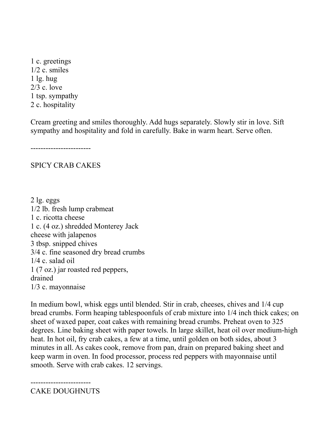1 c. greetings 1/2 c. smiles 1 lg. hug 2/3 c. love 1 tsp. sympathy 2 c. hospitality

Cream greeting and smiles thoroughly. Add hugs separately. Slowly stir in love. Sift sympathy and hospitality and fold in carefully. Bake in warm heart. Serve often.

------------------------

# SPICY CRAB CAKES

2 lg. eggs 1/2 lb. fresh lump crabmeat 1 c. ricotta cheese 1 c. (4 oz.) shredded Monterey Jack cheese with jalapenos 3 tbsp. snipped chives 3/4 c. fine seasoned dry bread crumbs 1/4 c. salad oil 1 (7 oz.) jar roasted red peppers, drained 1/3 c. mayonnaise

In medium bowl, whisk eggs until blended. Stir in crab, cheeses, chives and 1/4 cup bread crumbs. Form heaping tablespoonfuls of crab mixture into 1/4 inch thick cakes; on sheet of waxed paper, coat cakes with remaining bread crumbs. Preheat oven to 325 degrees. Line baking sheet with paper towels. In large skillet, heat oil over medium-high heat. In hot oil, fry crab cakes, a few at a time, until golden on both sides, about 3 minutes in all. As cakes cook, remove from pan, drain on prepared baking sheet and keep warm in oven. In food processor, process red peppers with mayonnaise until smooth. Serve with crab cakes. 12 servings.

------------------------ CAKE DOUGHNUTS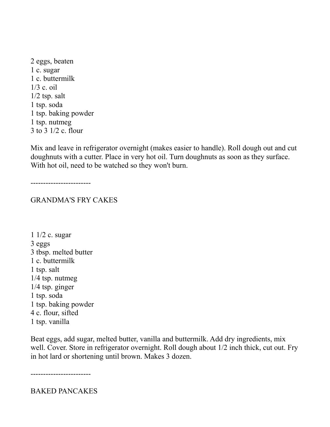2 eggs, beaten 1 c. sugar 1 c. buttermilk 1/3 c. oil  $1/2$  tsp. salt 1 tsp. soda 1 tsp. baking powder 1 tsp. nutmeg 3 to 3 1/2 c. flour

Mix and leave in refrigerator overnight (makes easier to handle). Roll dough out and cut doughnuts with a cutter. Place in very hot oil. Turn doughnuts as soon as they surface. With hot oil, need to be watched so they won't burn.

------------------------

GRANDMA'S FRY CAKES

1 1/2 c. sugar 3 eggs 3 tbsp. melted butter 1 c. buttermilk 1 tsp. salt 1/4 tsp. nutmeg 1/4 tsp. ginger 1 tsp. soda 1 tsp. baking powder 4 c. flour, sifted 1 tsp. vanilla

Beat eggs, add sugar, melted butter, vanilla and buttermilk. Add dry ingredients, mix well. Cover. Store in refrigerator overnight. Roll dough about 1/2 inch thick, cut out. Fry in hot lard or shortening until brown. Makes 3 dozen.

------------------------

BAKED PANCAKES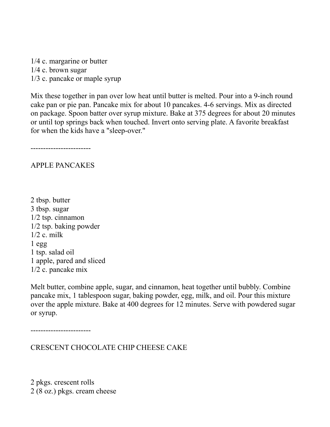1/4 c. margarine or butter 1/4 c. brown sugar 1/3 c. pancake or maple syrup

Mix these together in pan over low heat until butter is melted. Pour into a 9-inch round cake pan or pie pan. Pancake mix for about 10 pancakes. 4-6 servings. Mix as directed on package. Spoon batter over syrup mixture. Bake at 375 degrees for about 20 minutes or until top springs back when touched. Invert onto serving plate. A favorite breakfast for when the kids have a "sleep-over."

------------------------

APPLE PANCAKES

2 tbsp. butter 3 tbsp. sugar 1/2 tsp. cinnamon 1/2 tsp. baking powder  $1/2$  c. milk  $1$  egg 1 tsp. salad oil 1 apple, pared and sliced 1/2 c. pancake mix

Melt butter, combine apple, sugar, and cinnamon, heat together until bubbly. Combine pancake mix, 1 tablespoon sugar, baking powder, egg, milk, and oil. Pour this mixture over the apple mixture. Bake at 400 degrees for 12 minutes. Serve with powdered sugar or syrup.

------------------------

CRESCENT CHOCOLATE CHIP CHEESE CAKE

2 pkgs. crescent rolls 2 (8 oz.) pkgs. cream cheese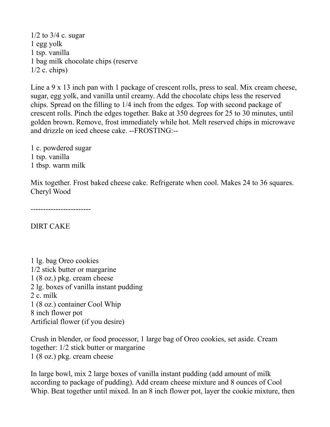$1/2$  to  $3/4$  c. sugar 1 egg yolk 1 tsp. vanilla 1 bag milk chocolate chips (reserve  $1/2$  c. chips)

Line a 9 x 13 inch pan with 1 package of crescent rolls, press to seal. Mix cream cheese, sugar, egg yolk, and vanilla until creamy. Add the chocolate chips less the reserved chips. Spread on the filling to 1/4 inch from the edges. Top with second package of crescent rolls. Pinch the edges together. Bake at 350 degrees for 25 to 30 minutes, until golden brown. Remove, frost immediately while hot. Melt reserved chips in microwave and drizzle on iced cheese cake. --FROSTING:--

1 c. powdered sugar 1 tsp. vanilla 1 tbsp. warm milk

Mix together. Frost baked cheese cake. Refrigerate when cool. Makes 24 to 36 squares. Cheryl Wood

------------------------

DIRT CAKE

1 lg. bag Oreo cookies 1/2 stick butter or margarine 1 (8 oz.) pkg. cream cheese 2 lg. boxes of vanilla instant pudding 2 c. milk 1 (8 oz.) container Cool Whip 8 inch flower pot Artificial flower (if you desire)

Crush in blender, or food processor, 1 large bag of Oreo cookies, set aside. Cream together: 1/2 stick butter or margarine 1 (8 oz.) pkg. cream cheese

In large bowl, mix 2 large boxes of vanilla instant pudding (add amount of milk according to package of pudding). Add cream cheese mixture and 8 ounces of Cool Whip. Beat together until mixed. In an 8 inch flower pot, layer the cookie mixture, then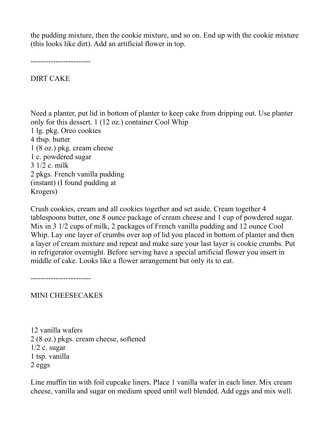the pudding mixture, then the cookie mixture, and so on. End up with the cookie mixture (this looks like dirt). Add an artificial flower in top.

------------------------

DIRT CAKE

Need a planter, put lid in bottom of planter to keep cake from dripping out. Use planter only for this dessert. 1 (12 oz.) container Cool Whip 1 lg. pkg. Oreo cookies 4 tbsp. butter 1 (8 oz.) pkg. cream cheese 1 c. powdered sugar 3 1/2 c. milk 2 pkgs. French vanilla pudding (instant) (I found pudding at Krogers)

Crush cookies, cream and all cookies together and set aside. Cream together 4 tablespoons butter, one 8 ounce package of cream cheese and 1 cup of powdered sugar. Mix in 3 1/2 cups of milk, 2 packages of French vanilla pudding and 12 ounce Cool Whip. Lay one layer of crumbs over top of lid you placed in bottom of planter and then a layer of cream mixture and repeat and make sure your last layer is cookie crumbs. Put in refrigerator overnight. Before serving have a special artificial flower you insert in middle of cake. Looks like a flower arrangement but only its to eat.

------------------------

MINI CHEESECAKES

12 vanilla wafers 2 (8 oz.) pkgs. cream cheese, softened  $1/2$  c. sugar 1 tsp. vanilla 2 eggs

Line muffin tin with foil cupcake liners. Place 1 vanilla wafer in each liner. Mix cream cheese, vanilla and sugar on medium speed until well blended. Add eggs and mix well.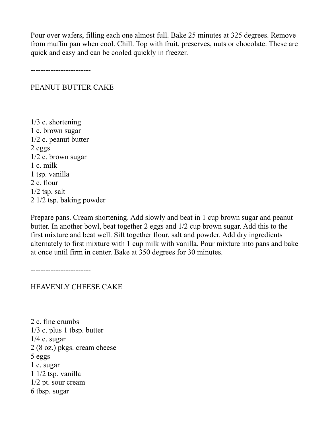Pour over wafers, filling each one almost full. Bake 25 minutes at 325 degrees. Remove from muffin pan when cool. Chill. Top with fruit, preserves, nuts or chocolate. These are quick and easy and can be cooled quickly in freezer.

------------------------

PEANUT BUTTER CAKE

1/3 c. shortening 1 c. brown sugar 1/2 c. peanut butter 2 eggs 1/2 c. brown sugar 1 c. milk 1 tsp. vanilla 2 c. flour  $1/2$  tsp. salt 2 1/2 tsp. baking powder

Prepare pans. Cream shortening. Add slowly and beat in 1 cup brown sugar and peanut butter. In another bowl, beat together 2 eggs and 1/2 cup brown sugar. Add this to the first mixture and beat well. Sift together flour, salt and powder. Add dry ingredients alternately to first mixture with 1 cup milk with vanilla. Pour mixture into pans and bake at once until firm in center. Bake at 350 degrees for 30 minutes.

------------------------

HEAVENLY CHEESE CAKE

2 c. fine crumbs 1/3 c. plus 1 tbsp. butter 1/4 c. sugar 2 (8 oz.) pkgs. cream cheese 5 eggs 1 c. sugar 1 1/2 tsp. vanilla 1/2 pt. sour cream 6 tbsp. sugar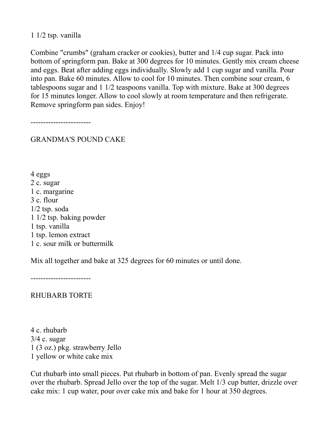## 1 1/2 tsp. vanilla

Combine "crumbs" (graham cracker or cookies), butter and 1/4 cup sugar. Pack into bottom of springform pan. Bake at 300 degrees for 10 minutes. Gently mix cream cheese and eggs. Beat after adding eggs individually. Slowly add 1 cup sugar and vanilla. Pour into pan. Bake 60 minutes. Allow to cool for 10 minutes. Then combine sour cream, 6 tablespoons sugar and 1 1/2 teaspoons vanilla. Top with mixture. Bake at 300 degrees for 15 minutes longer. Allow to cool slowly at room temperature and then refrigerate. Remove springform pan sides. Enjoy!

------------------------

GRANDMA'S POUND CAKE

4 eggs 2 c. sugar 1 c. margarine 3 c. flour 1/2 tsp. soda 1 1/2 tsp. baking powder 1 tsp. vanilla 1 tsp. lemon extract 1 c. sour milk or buttermilk

Mix all together and bake at 325 degrees for 60 minutes or until done.

------------------------

RHUBARB TORTE

4 c. rhubarb 3/4 c. sugar 1 (3 oz.) pkg. strawberry Jello 1 yellow or white cake mix

Cut rhubarb into small pieces. Put rhubarb in bottom of pan. Evenly spread the sugar over the rhubarb. Spread Jello over the top of the sugar. Melt 1/3 cup butter, drizzle over cake mix: 1 cup water, pour over cake mix and bake for 1 hour at 350 degrees.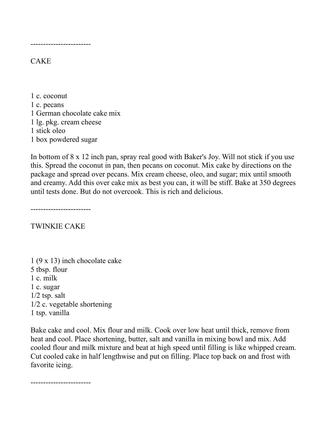------------------------

## **CAKE**

1 c. coconut 1 c. pecans 1 German chocolate cake mix 1 lg. pkg. cream cheese 1 stick oleo 1 box powdered sugar

In bottom of 8 x 12 inch pan, spray real good with Baker's Joy. Will not stick if you use this. Spread the coconut in pan, then pecans on coconut. Mix cake by directions on the package and spread over pecans. Mix cream cheese, oleo, and sugar; mix until smooth and creamy. Add this over cake mix as best you can, it will be stiff. Bake at 350 degrees until tests done. But do not overcook. This is rich and delicious.

------------------------

TWINKIE CAKE

1 (9 x 13) inch chocolate cake 5 tbsp. flour 1 c. milk 1 c. sugar  $1/2$  tsp. salt 1/2 c. vegetable shortening 1 tsp. vanilla

Bake cake and cool. Mix flour and milk. Cook over low heat until thick, remove from heat and cool. Place shortening, butter, salt and vanilla in mixing bowl and mix. Add cooled flour and milk mixture and beat at high speed until filling is like whipped cream. Cut cooled cake in half lengthwise and put on filling. Place top back on and frost with favorite icing.

------------------------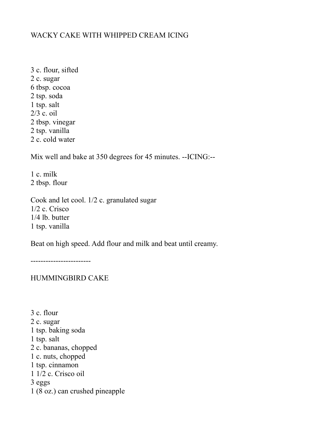# WACKY CAKE WITH WHIPPED CREAM ICING

3 c. flour, sifted 2 c. sugar 6 tbsp. cocoa 2 tsp. soda 1 tsp. salt 2/3 c. oil 2 tbsp. vinegar 2 tsp. vanilla 2 c. cold water

Mix well and bake at 350 degrees for 45 minutes. --ICING:--

1 c. milk 2 tbsp. flour

Cook and let cool. 1/2 c. granulated sugar 1/2 c. Crisco 1/4 lb. butter 1 tsp. vanilla

Beat on high speed. Add flour and milk and beat until creamy.

------------------------

HUMMINGBIRD CAKE

3 c. flour 2 c. sugar 1 tsp. baking soda 1 tsp. salt 2 c. bananas, chopped 1 c. nuts, chopped 1 tsp. cinnamon 1 1/2 c. Crisco oil 3 eggs 1 (8 oz.) can crushed pineapple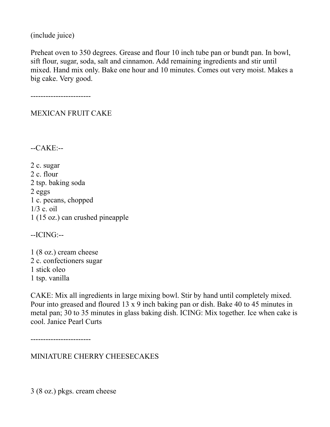(include juice)

Preheat oven to 350 degrees. Grease and flour 10 inch tube pan or bundt pan. In bowl, sift flour, sugar, soda, salt and cinnamon. Add remaining ingredients and stir until mixed. Hand mix only. Bake one hour and 10 minutes. Comes out very moist. Makes a big cake. Very good.

------------------------

MEXICAN FRUIT CAKE

--CAKE:--

2 c. sugar 2 c. flour 2 tsp. baking soda 2 eggs 1 c. pecans, chopped 1/3 c. oil 1 (15 oz.) can crushed pineapple

--ICING:--

1 (8 oz.) cream cheese 2 c. confectioners sugar 1 stick oleo 1 tsp. vanilla

CAKE: Mix all ingredients in large mixing bowl. Stir by hand until completely mixed. Pour into greased and floured 13 x 9 inch baking pan or dish. Bake 40 to 45 minutes in metal pan; 30 to 35 minutes in glass baking dish. ICING: Mix together. Ice when cake is cool. Janice Pearl Curts

------------------------

MINIATURE CHERRY CHEESECAKES

3 (8 oz.) pkgs. cream cheese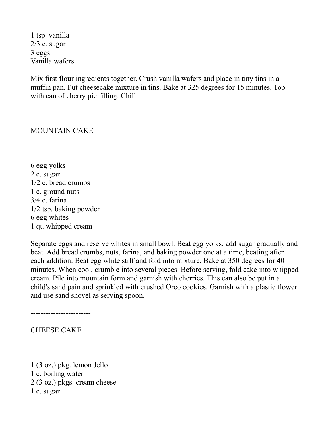1 tsp. vanilla 2/3 c. sugar 3 eggs Vanilla wafers

Mix first flour ingredients together. Crush vanilla wafers and place in tiny tins in a muffin pan. Put cheesecake mixture in tins. Bake at 325 degrees for 15 minutes. Top with can of cherry pie filling. Chill.

------------------------

MOUNTAIN CAKE

6 egg yolks 2 c. sugar 1/2 c. bread crumbs 1 c. ground nuts 3/4 c. farina 1/2 tsp. baking powder 6 egg whites 1 qt. whipped cream

Separate eggs and reserve whites in small bowl. Beat egg yolks, add sugar gradually and beat. Add bread crumbs, nuts, farina, and baking powder one at a time, beating after each addition. Beat egg white stiff and fold into mixture. Bake at 350 degrees for 40 minutes. When cool, crumble into several pieces. Before serving, fold cake into whipped cream. Pile into mountain form and garnish with cherries. This can also be put in a child's sand pain and sprinkled with crushed Oreo cookies. Garnish with a plastic flower and use sand shovel as serving spoon.

------------------------

CHEESE CAKE

1 (3 oz.) pkg. lemon Jello 1 c. boiling water 2 (3 oz.) pkgs. cream cheese 1 c. sugar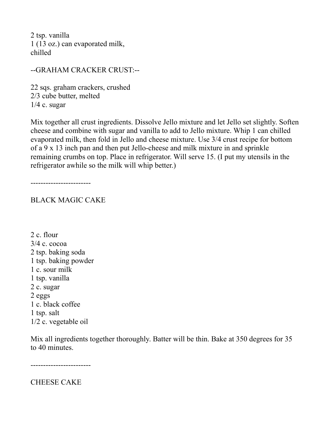2 tsp. vanilla 1 (13 oz.) can evaporated milk, chilled

--GRAHAM CRACKER CRUST:--

22 sqs. graham crackers, crushed 2/3 cube butter, melted  $1/4$  c. sugar

Mix together all crust ingredients. Dissolve Jello mixture and let Jello set slightly. Soften cheese and combine with sugar and vanilla to add to Jello mixture. Whip 1 can chilled evaporated milk, then fold in Jello and cheese mixture. Use 3/4 crust recipe for bottom of a 9 x 13 inch pan and then put Jello-cheese and milk mixture in and sprinkle remaining crumbs on top. Place in refrigerator. Will serve 15. (I put my utensils in the refrigerator awhile so the milk will whip better.)

------------------------

BLACK MAGIC CAKE

2 c. flour 3/4 c. cocoa 2 tsp. baking soda 1 tsp. baking powder 1 c. sour milk 1 tsp. vanilla 2 c. sugar 2 eggs 1 c. black coffee 1 tsp. salt 1/2 c. vegetable oil

Mix all ingredients together thoroughly. Batter will be thin. Bake at 350 degrees for 35 to 40 minutes.

------------------------

CHEESE CAKE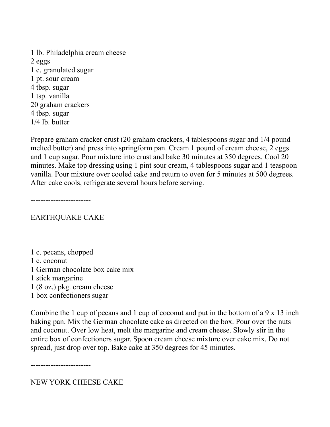1 lb. Philadelphia cream cheese 2 eggs 1 c. granulated sugar 1 pt. sour cream 4 tbsp. sugar 1 tsp. vanilla 20 graham crackers 4 tbsp. sugar 1/4 lb. butter

Prepare graham cracker crust (20 graham crackers, 4 tablespoons sugar and 1/4 pound melted butter) and press into springform pan. Cream 1 pound of cream cheese, 2 eggs and 1 cup sugar. Pour mixture into crust and bake 30 minutes at 350 degrees. Cool 20 minutes. Make top dressing using 1 pint sour cream, 4 tablespoons sugar and 1 teaspoon vanilla. Pour mixture over cooled cake and return to oven for 5 minutes at 500 degrees. After cake cools, refrigerate several hours before serving.

------------------------

EARTHQUAKE CAKE

1 c. pecans, chopped 1 c. coconut 1 German chocolate box cake mix 1 stick margarine 1 (8 oz.) pkg. cream cheese 1 box confectioners sugar

Combine the 1 cup of pecans and 1 cup of coconut and put in the bottom of a 9 x 13 inch baking pan. Mix the German chocolate cake as directed on the box. Pour over the nuts and coconut. Over low heat, melt the margarine and cream cheese. Slowly stir in the entire box of confectioners sugar. Spoon cream cheese mixture over cake mix. Do not spread, just drop over top. Bake cake at 350 degrees for 45 minutes.

------------------------

NEW YORK CHEESE CAKE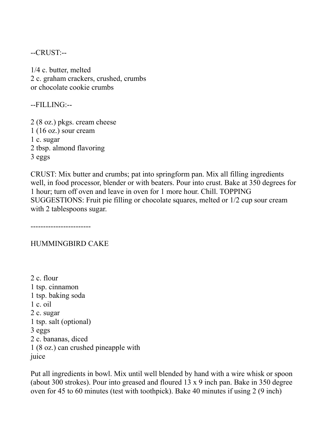--CRUST:--

1/4 c. butter, melted 2 c. graham crackers, crushed, crumbs or chocolate cookie crumbs

--FILLING:--

2 (8 oz.) pkgs. cream cheese  $1(16 \text{ oz.})$  sour cream 1 c. sugar 2 tbsp. almond flavoring 3 eggs

CRUST: Mix butter and crumbs; pat into springform pan. Mix all filling ingredients well, in food processor, blender or with beaters. Pour into crust. Bake at 350 degrees for 1 hour; turn off oven and leave in oven for 1 more hour. Chill. TOPPING SUGGESTIONS: Fruit pie filling or chocolate squares, melted or 1/2 cup sour cream with 2 tablespoons sugar.

------------------------

#### HUMMINGBIRD CAKE

2 c. flour 1 tsp. cinnamon 1 tsp. baking soda 1 c. oil 2 c. sugar 1 tsp. salt (optional) 3 eggs 2 c. bananas, diced 1 (8 oz.) can crushed pineapple with juice

Put all ingredients in bowl. Mix until well blended by hand with a wire whisk or spoon (about 300 strokes). Pour into greased and floured 13 x 9 inch pan. Bake in 350 degree oven for 45 to 60 minutes (test with toothpick). Bake 40 minutes if using 2 (9 inch)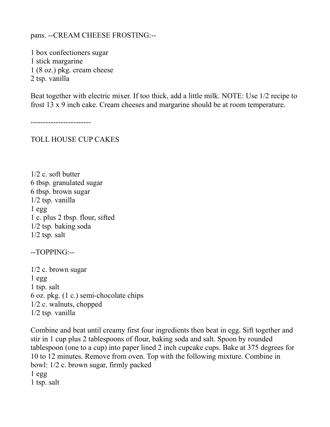#### pans. --CREAM CHEESE FROSTING:--

1 box confectioners sugar 1 stick margarine 1 (8 oz.) pkg. cream cheese 2 tsp. vanilla

Beat together with electric mixer. If too thick, add a little milk. NOTE: Use 1/2 recipe to frost 13 x 9 inch cake. Cream cheeses and margarine should be at room temperature.

------------------------

TOLL HOUSE CUP CAKES

1/2 c. soft butter 6 tbsp. granulated sugar 6 tbsp. brown sugar 1/2 tsp. vanilla 1 egg 1 c. plus 2 tbsp. flour, sifted 1/2 tsp. baking soda 1/2 tsp. salt

--TOPPING:--

1/2 c. brown sugar 1 egg 1 tsp. salt 6 oz. pkg. (1 c.) semi-chocolate chips 1/2 c. walnuts, chopped 1/2 tsp. vanilla

Combine and beat until creamy first four ingredients then beat in egg. Sift together and stir in 1 cup plus 2 tablespoons of flour, baking soda and salt. Spoon by rounded tablespoon (one to a cup) into paper lined 2 inch cupcake cups. Bake at 375 degrees for 10 to 12 minutes. Remove from oven. Top with the following mixture. Combine in bowl: 1/2 c. brown sugar, firmly packed  $1$  egg 1 tsp. salt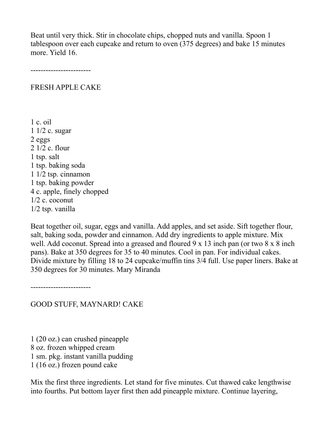Beat until very thick. Stir in chocolate chips, chopped nuts and vanilla. Spoon 1 tablespoon over each cupcake and return to oven (375 degrees) and bake 15 minutes more. Yield 16.

------------------------

#### FRESH APPLE CAKE

1 c. oil 1 1/2 c. sugar 2 eggs 2 1/2 c. flour 1 tsp. salt 1 tsp. baking soda 1 1/2 tsp. cinnamon 1 tsp. baking powder 4 c. apple, finely chopped 1/2 c. coconut 1/2 tsp. vanilla

Beat together oil, sugar, eggs and vanilla. Add apples, and set aside. Sift together flour, salt, baking soda, powder and cinnamon. Add dry ingredients to apple mixture. Mix well. Add coconut. Spread into a greased and floured 9 x 13 inch pan (or two 8 x 8 inch pans). Bake at 350 degrees for 35 to 40 minutes. Cool in pan. For individual cakes. Divide mixture by filling 18 to 24 cupcake/muffin tins 3/4 full. Use paper liners. Bake at 350 degrees for 30 minutes. Mary Miranda

------------------------

GOOD STUFF, MAYNARD! CAKE

1 (20 oz.) can crushed pineapple 8 oz. frozen whipped cream 1 sm. pkg. instant vanilla pudding 1 (16 oz.) frozen pound cake

Mix the first three ingredients. Let stand for five minutes. Cut thawed cake lengthwise into fourths. Put bottom layer first then add pineapple mixture. Continue layering,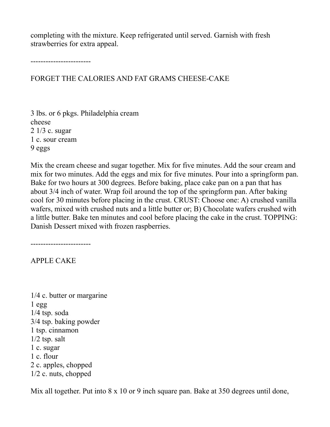completing with the mixture. Keep refrigerated until served. Garnish with fresh strawberries for extra appeal.

------------------------

FORGET THE CALORIES AND FAT GRAMS CHEESE-CAKE

3 lbs. or 6 pkgs. Philadelphia cream cheese 2 1/3 c. sugar 1 c. sour cream 9 eggs

Mix the cream cheese and sugar together. Mix for five minutes. Add the sour cream and mix for two minutes. Add the eggs and mix for five minutes. Pour into a springform pan. Bake for two hours at 300 degrees. Before baking, place cake pan on a pan that has about 3/4 inch of water. Wrap foil around the top of the springform pan. After baking cool for 30 minutes before placing in the crust. CRUST: Choose one: A) crushed vanilla wafers, mixed with crushed nuts and a little butter or; B) Chocolate wafers crushed with a little butter. Bake ten minutes and cool before placing the cake in the crust. TOPPING: Danish Dessert mixed with frozen raspberries.

------------------------

APPLE CAKE

1/4 c. butter or margarine 1 egg 1/4 tsp. soda 3/4 tsp. baking powder 1 tsp. cinnamon 1/2 tsp. salt 1 c. sugar 1 c. flour 2 c. apples, chopped 1/2 c. nuts, chopped

Mix all together. Put into 8 x 10 or 9 inch square pan. Bake at 350 degrees until done,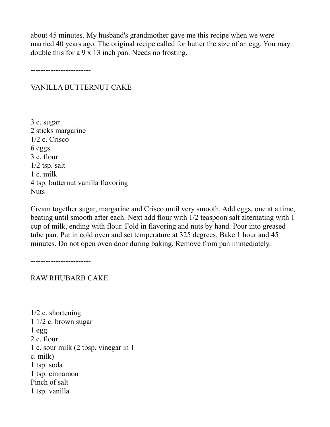about 45 minutes. My husband's grandmother gave me this recipe when we were married 40 years ago. The original recipe called for butter the size of an egg. You may double this for a 9 x 13 inch pan. Needs no frosting.

------------------------

# VANILLA BUTTERNUT CAKE

3 c. sugar 2 sticks margarine 1/2 c. Crisco 6 eggs 3 c. flour 1/2 tsp. salt 1 c. milk 4 tsp. butternut vanilla flavoring Nuts

Cream together sugar, margarine and Crisco until very smooth. Add eggs, one at a time, beating until smooth after each. Next add flour with 1/2 teaspoon salt alternating with 1 cup of milk, ending with flour. Fold in flavoring and nuts by hand. Pour into greased tube pan. Put in cold oven and set temperature at 325 degrees. Bake 1 hour and 45 minutes. Do not open oven door during baking. Remove from pan immediately.

------------------------

RAW RHUBARB CAKE

1/2 c. shortening 1 1/2 c. brown sugar  $1$  egg 2 c. flour 1 c. sour milk (2 tbsp. vinegar in 1 c. milk) 1 tsp. soda 1 tsp. cinnamon Pinch of salt 1 tsp. vanilla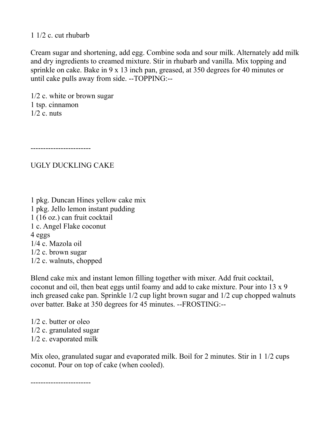1 1/2 c. cut rhubarb

Cream sugar and shortening, add egg. Combine soda and sour milk. Alternately add milk and dry ingredients to creamed mixture. Stir in rhubarb and vanilla. Mix topping and sprinkle on cake. Bake in 9 x 13 inch pan, greased, at 350 degrees for 40 minutes or until cake pulls away from side. --TOPPING:--

1/2 c. white or brown sugar 1 tsp. cinnamon  $1/2$  c. nuts

------------------------

UGLY DUCKLING CAKE

1 pkg. Duncan Hines yellow cake mix 1 pkg. Jello lemon instant pudding 1 (16 oz.) can fruit cocktail 1 c. Angel Flake coconut 4 eggs 1/4 c. Mazola oil 1/2 c. brown sugar 1/2 c. walnuts, chopped

Blend cake mix and instant lemon filling together with mixer. Add fruit cocktail, coconut and oil, then beat eggs until foamy and add to cake mixture. Pour into 13 x 9 inch greased cake pan. Sprinkle 1/2 cup light brown sugar and 1/2 cup chopped walnuts over batter. Bake at 350 degrees for 45 minutes. --FROSTING:--

1/2 c. butter or oleo 1/2 c. granulated sugar 1/2 c. evaporated milk

Mix oleo, granulated sugar and evaporated milk. Boil for 2 minutes. Stir in 1 1/2 cups coconut. Pour on top of cake (when cooled).

------------------------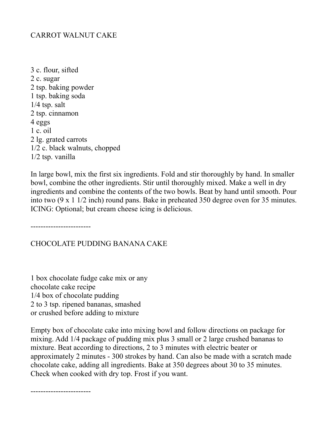# CARROT WALNUT CAKE

3 c. flour, sifted 2 c. sugar 2 tsp. baking powder 1 tsp. baking soda 1/4 tsp. salt 2 tsp. cinnamon 4 eggs 1 c. oil 2 lg. grated carrots 1/2 c. black walnuts, chopped 1/2 tsp. vanilla

In large bowl, mix the first six ingredients. Fold and stir thoroughly by hand. In smaller bowl, combine the other ingredients. Stir until thoroughly mixed. Make a well in dry ingredients and combine the contents of the two bowls. Beat by hand until smooth. Pour into two (9 x 1 1/2 inch) round pans. Bake in preheated 350 degree oven for 35 minutes. ICING: Optional; but cream cheese icing is delicious.

------------------------

#### CHOCOLATE PUDDING BANANA CAKE

1 box chocolate fudge cake mix or any chocolate cake recipe 1/4 box of chocolate pudding 2 to 3 tsp. ripened bananas, smashed or crushed before adding to mixture

Empty box of chocolate cake into mixing bowl and follow directions on package for mixing. Add 1/4 package of pudding mix plus 3 small or 2 large crushed bananas to mixture. Beat according to directions, 2 to 3 minutes with electric beater or approximately 2 minutes - 300 strokes by hand. Can also be made with a scratch made chocolate cake, adding all ingredients. Bake at 350 degrees about 30 to 35 minutes. Check when cooked with dry top. Frost if you want.

------------------------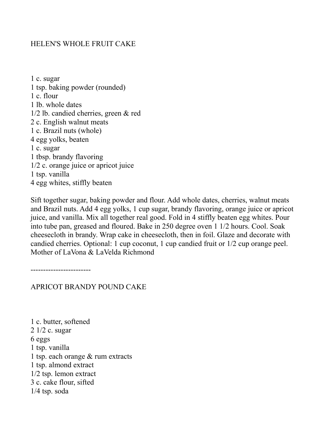## HELEN'S WHOLE FRUIT CAKE

1 c. sugar 1 tsp. baking powder (rounded) 1 c. flour 1 lb. whole dates 1/2 lb. candied cherries, green & red 2 c. English walnut meats 1 c. Brazil nuts (whole) 4 egg yolks, beaten 1 c. sugar 1 tbsp. brandy flavoring 1/2 c. orange juice or apricot juice 1 tsp. vanilla 4 egg whites, stiffly beaten

Sift together sugar, baking powder and flour. Add whole dates, cherries, walnut meats and Brazil nuts. Add 4 egg yolks, 1 cup sugar, brandy flavoring, orange juice or apricot juice, and vanilla. Mix all together real good. Fold in 4 stiffly beaten egg whites. Pour into tube pan, greased and floured. Bake in 250 degree oven 1 1/2 hours. Cool. Soak cheesecloth in brandy. Wrap cake in cheesecloth, then in foil. Glaze and decorate with candied cherries. Optional: 1 cup coconut, 1 cup candied fruit or 1/2 cup orange peel. Mother of LaVona & LaVelda Richmond

------------------------

APRICOT BRANDY POUND CAKE

1 c. butter, softened 2 1/2 c. sugar 6 eggs 1 tsp. vanilla 1 tsp. each orange & rum extracts 1 tsp. almond extract 1/2 tsp. lemon extract 3 c. cake flour, sifted 1/4 tsp. soda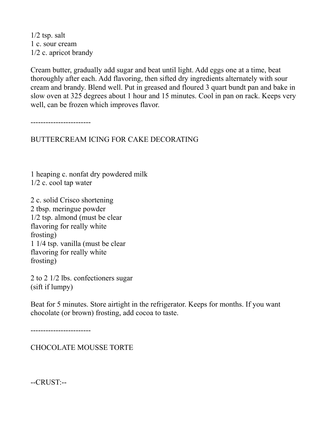$1/2$  tsp. salt 1 c. sour cream 1/2 c. apricot brandy

Cream butter, gradually add sugar and beat until light. Add eggs one at a time, beat thoroughly after each. Add flavoring, then sifted dry ingredients alternately with sour cream and brandy. Blend well. Put in greased and floured 3 quart bundt pan and bake in slow oven at 325 degrees about 1 hour and 15 minutes. Cool in pan on rack. Keeps very well, can be frozen which improves flavor.

------------------------

BUTTERCREAM ICING FOR CAKE DECORATING

1 heaping c. nonfat dry powdered milk 1/2 c. cool tap water

2 c. solid Crisco shortening 2 tbsp. meringue powder 1/2 tsp. almond (must be clear flavoring for really white frosting) 1 1/4 tsp. vanilla (must be clear flavoring for really white frosting)

2 to 2 1/2 lbs. confectioners sugar (sift if lumpy)

Beat for 5 minutes. Store airtight in the refrigerator. Keeps for months. If you want chocolate (or brown) frosting, add cocoa to taste.

------------------------

CHOCOLATE MOUSSE TORTE

--CRUST:--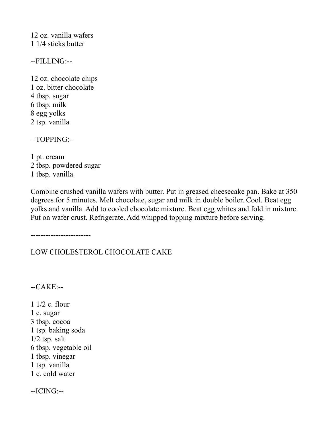12 oz. vanilla wafers 1 1/4 sticks butter

--FILLING:--

12 oz. chocolate chips 1 oz. bitter chocolate 4 tbsp. sugar 6 tbsp. milk 8 egg yolks 2 tsp. vanilla

--TOPPING:--

1 pt. cream 2 tbsp. powdered sugar 1 tbsp. vanilla

Combine crushed vanilla wafers with butter. Put in greased cheesecake pan. Bake at 350 degrees for 5 minutes. Melt chocolate, sugar and milk in double boiler. Cool. Beat egg yolks and vanilla. Add to cooled chocolate mixture. Beat egg whites and fold in mixture. Put on wafer crust. Refrigerate. Add whipped topping mixture before serving.

------------------------

LOW CHOLESTEROL CHOCOLATE CAKE

--CAKE:--

1 1/2 c. flour 1 c. sugar 3 tbsp. cocoa 1 tsp. baking soda 1/2 tsp. salt 6 tbsp. vegetable oil 1 tbsp. vinegar 1 tsp. vanilla 1 c. cold water

--ICING:--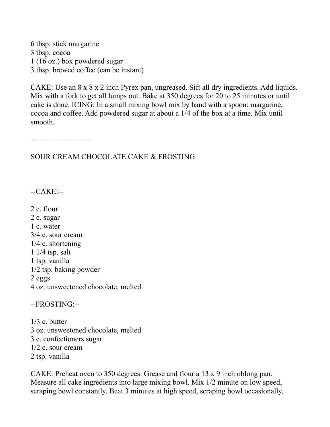6 tbsp. stick margarine 3 tbsp. cocoa 1 (16 oz.) box powdered sugar 3 tbsp. brewed coffee (can be instant)

CAKE: Use an 8 x 8 x 2 inch Pyrex pan, ungreased. Sift all dry ingredients. Add liquids. Mix with a fork to get all lumps out. Bake at 350 degrees for 20 to 25 minutes or until cake is done. ICING: In a small mixing bowl mix by hand with a spoon: margarine, cocoa and coffee. Add powdered sugar at about a 1/4 of the box at a time. Mix until smooth.

------------------------

SOUR CREAM CHOCOLATE CAKE & FROSTING

 $-CAKE$ :

2 c. flour

2 c. sugar 1 c. water

3/4 c. sour cream

1/4 c. shortening

1 1/4 tsp. salt

1 tsp. vanilla

1/2 tsp. baking powder

2 eggs 4 oz. unsweetened chocolate, melted

--FROSTING:--

1/3 c. butter 3 oz. unsweetened chocolate, melted 3 c. confectioners sugar 1/2 c. sour cream 2 tsp. vanilla

CAKE: Preheat oven to 350 degrees. Grease and flour a 13 x 9 inch oblong pan. Measure all cake ingredients into large mixing bowl. Mix 1/2 minute on low speed, scraping bowl constantly. Beat 3 minutes at high speed, scraping bowl occasionally.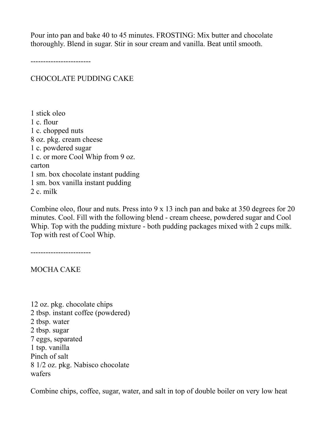Pour into pan and bake 40 to 45 minutes. FROSTING: Mix butter and chocolate thoroughly. Blend in sugar. Stir in sour cream and vanilla. Beat until smooth.

------------------------

## CHOCOLATE PUDDING CAKE

1 stick oleo 1 c. flour 1 c. chopped nuts 8 oz. pkg. cream cheese 1 c. powdered sugar 1 c. or more Cool Whip from 9 oz. carton 1 sm. box chocolate instant pudding 1 sm. box vanilla instant pudding 2 c. milk

Combine oleo, flour and nuts. Press into 9 x 13 inch pan and bake at 350 degrees for 20 minutes. Cool. Fill with the following blend - cream cheese, powdered sugar and Cool Whip. Top with the pudding mixture - both pudding packages mixed with 2 cups milk. Top with rest of Cool Whip.

------------------------

MOCHA CAKE

12 oz. pkg. chocolate chips 2 tbsp. instant coffee (powdered) 2 tbsp. water 2 tbsp. sugar 7 eggs, separated 1 tsp. vanilla Pinch of salt 8 1/2 oz. pkg. Nabisco chocolate wafers

Combine chips, coffee, sugar, water, and salt in top of double boiler on very low heat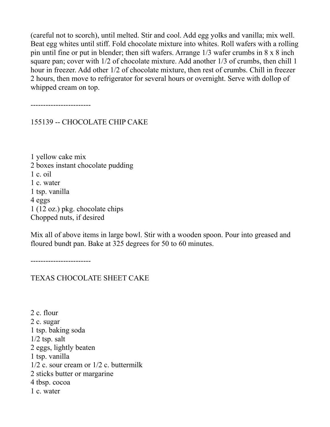(careful not to scorch), until melted. Stir and cool. Add egg yolks and vanilla; mix well. Beat egg whites until stiff. Fold chocolate mixture into whites. Roll wafers with a rolling pin until fine or put in blender; then sift wafers. Arrange 1/3 wafer crumbs in 8 x 8 inch square pan; cover with 1/2 of chocolate mixture. Add another 1/3 of crumbs, then chill 1 hour in freezer. Add other 1/2 of chocolate mixture, then rest of crumbs. Chill in freezer 2 hours, then move to refrigerator for several hours or overnight. Serve with dollop of whipped cream on top.

------------------------

155139 -- CHOCOLATE CHIP CAKE

1 yellow cake mix 2 boxes instant chocolate pudding 1 c. oil 1 c. water 1 tsp. vanilla 4 eggs 1 (12 oz.) pkg. chocolate chips Chopped nuts, if desired

Mix all of above items in large bowl. Stir with a wooden spoon. Pour into greased and floured bundt pan. Bake at 325 degrees for 50 to 60 minutes.

------------------------

TEXAS CHOCOLATE SHEET CAKE

2 c. flour 2 c. sugar 1 tsp. baking soda  $1/2$  tsp. salt 2 eggs, lightly beaten 1 tsp. vanilla 1/2 c. sour cream or 1/2 c. buttermilk 2 sticks butter or margarine 4 tbsp. cocoa 1 c. water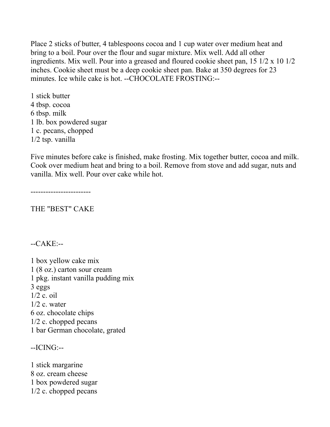Place 2 sticks of butter, 4 tablespoons cocoa and 1 cup water over medium heat and bring to a boil. Pour over the flour and sugar mixture. Mix well. Add all other ingredients. Mix well. Pour into a greased and floured cookie sheet pan, 15 1/2 x 10 1/2 inches. Cookie sheet must be a deep cookie sheet pan. Bake at 350 degrees for 23 minutes. Ice while cake is hot. --CHOCOLATE FROSTING:--

1 stick butter 4 tbsp. cocoa 6 tbsp. milk 1 lb. box powdered sugar 1 c. pecans, chopped 1/2 tsp. vanilla

Five minutes before cake is finished, make frosting. Mix together butter, cocoa and milk. Cook over medium heat and bring to a boil. Remove from stove and add sugar, nuts and vanilla. Mix well. Pour over cake while hot.

------------------------

THE "BEST" CAKE

 $-CAKE$ :

1 box yellow cake mix 1 (8 oz.) carton sour cream 1 pkg. instant vanilla pudding mix 3 eggs 1/2 c. oil  $1/2$  c. water 6 oz. chocolate chips 1/2 c. chopped pecans 1 bar German chocolate, grated

--ICING:--

1 stick margarine 8 oz. cream cheese 1 box powdered sugar 1/2 c. chopped pecans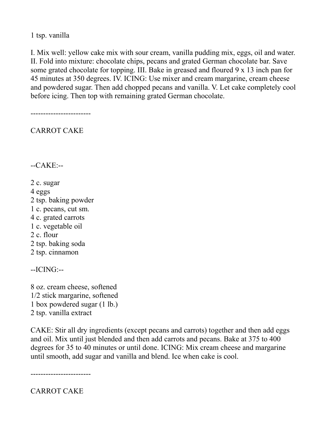1 tsp. vanilla

I. Mix well: yellow cake mix with sour cream, vanilla pudding mix, eggs, oil and water. II. Fold into mixture: chocolate chips, pecans and grated German chocolate bar. Save some grated chocolate for topping. III. Bake in greased and floured 9 x 13 inch pan for 45 minutes at 350 degrees. IV. ICING: Use mixer and cream margarine, cream cheese and powdered sugar. Then add chopped pecans and vanilla. V. Let cake completely cool before icing. Then top with remaining grated German chocolate.

------------------------

CARROT CAKE

--CAKE:--

2 c. sugar

4 eggs

2 tsp. baking powder

1 c. pecans, cut sm.

- 4 c. grated carrots
- 1 c. vegetable oil
- 2 c. flour
- 2 tsp. baking soda
- 2 tsp. cinnamon

--ICING:--

8 oz. cream cheese, softened 1/2 stick margarine, softened 1 box powdered sugar (1 lb.) 2 tsp. vanilla extract

CAKE: Stir all dry ingredients (except pecans and carrots) together and then add eggs and oil. Mix until just blended and then add carrots and pecans. Bake at 375 to 400 degrees for 35 to 40 minutes or until done. ICING: Mix cream cheese and margarine until smooth, add sugar and vanilla and blend. Ice when cake is cool.

------------------------

CARROT CAKE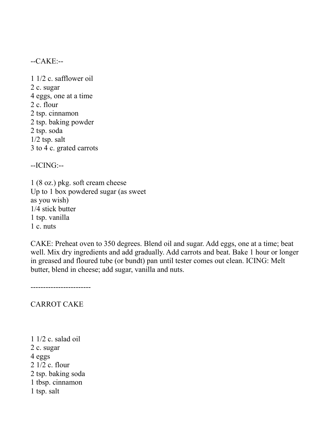$-CAKE$ :

1 1/2 c. safflower oil 2 c. sugar 4 eggs, one at a time 2 c. flour 2 tsp. cinnamon 2 tsp. baking powder 2 tsp. soda 1/2 tsp. salt 3 to 4 c. grated carrots

--ICING:--

1 (8 oz.) pkg. soft cream cheese Up to 1 box powdered sugar (as sweet as you wish) 1/4 stick butter 1 tsp. vanilla 1 c. nuts

CAKE: Preheat oven to 350 degrees. Blend oil and sugar. Add eggs, one at a time; beat well. Mix dry ingredients and add gradually. Add carrots and beat. Bake 1 hour or longer in greased and floured tube (or bundt) pan until tester comes out clean. ICING: Melt butter, blend in cheese; add sugar, vanilla and nuts.

------------------------

CARROT CAKE

1 1/2 c. salad oil 2 c. sugar 4 eggs 2 1/2 c. flour 2 tsp. baking soda 1 tbsp. cinnamon 1 tsp. salt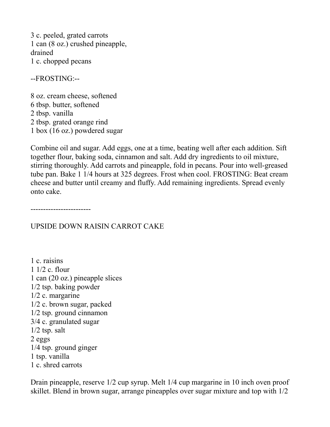3 c. peeled, grated carrots 1 can (8 oz.) crushed pineapple, drained 1 c. chopped pecans

--FROSTING:--

8 oz. cream cheese, softened 6 tbsp. butter, softened 2 tbsp. vanilla 2 tbsp. grated orange rind 1 box (16 oz.) powdered sugar

Combine oil and sugar. Add eggs, one at a time, beating well after each addition. Sift together flour, baking soda, cinnamon and salt. Add dry ingredients to oil mixture, stirring thoroughly. Add carrots and pineapple, fold in pecans. Pour into well-greased tube pan. Bake 1 1/4 hours at 325 degrees. Frost when cool. FROSTING: Beat cream cheese and butter until creamy and fluffy. Add remaining ingredients. Spread evenly onto cake.

------------------------

# UPSIDE DOWN RAISIN CARROT CAKE

1 c. raisins 1 1/2 c. flour 1 can (20 oz.) pineapple slices 1/2 tsp. baking powder 1/2 c. margarine 1/2 c. brown sugar, packed 1/2 tsp. ground cinnamon 3/4 c. granulated sugar 1/2 tsp. salt 2 eggs 1/4 tsp. ground ginger 1 tsp. vanilla 1 c. shred carrots

Drain pineapple, reserve 1/2 cup syrup. Melt 1/4 cup margarine in 10 inch oven proof skillet. Blend in brown sugar, arrange pineapples over sugar mixture and top with 1/2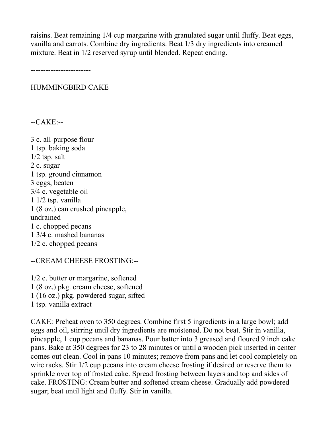raisins. Beat remaining 1/4 cup margarine with granulated sugar until fluffy. Beat eggs, vanilla and carrots. Combine dry ingredients. Beat 1/3 dry ingredients into creamed mixture. Beat in 1/2 reserved syrup until blended. Repeat ending.

------------------------

HUMMINGBIRD CAKE

--CAKE:--

3 c. all-purpose flour 1 tsp. baking soda 1/2 tsp. salt 2 c. sugar 1 tsp. ground cinnamon 3 eggs, beaten 3/4 c. vegetable oil 1 1/2 tsp. vanilla 1 (8 oz.) can crushed pineapple, undrained 1 c. chopped pecans 1 3/4 c. mashed bananas 1/2 c. chopped pecans

--CREAM CHEESE FROSTING:--

1/2 c. butter or margarine, softened 1 (8 oz.) pkg. cream cheese, softened 1 (16 oz.) pkg. powdered sugar, sifted 1 tsp. vanilla extract

CAKE: Preheat oven to 350 degrees. Combine first 5 ingredients in a large bowl; add eggs and oil, stirring until dry ingredients are moistened. Do not beat. Stir in vanilla, pineapple, 1 cup pecans and bananas. Pour batter into 3 greased and floured 9 inch cake pans. Bake at 350 degrees for 23 to 28 minutes or until a wooden pick inserted in center comes out clean. Cool in pans 10 minutes; remove from pans and let cool completely on wire racks. Stir 1/2 cup pecans into cream cheese frosting if desired or reserve them to sprinkle over top of frosted cake. Spread frosting between layers and top and sides of cake. FROSTING: Cream butter and softened cream cheese. Gradually add powdered sugar; beat until light and fluffy. Stir in vanilla.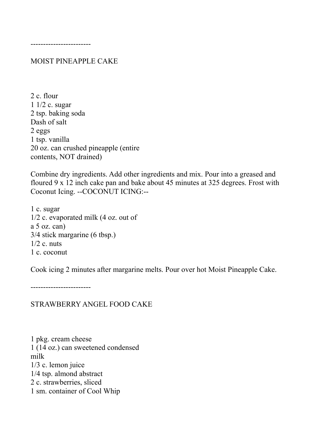#### MOIST PINEAPPLE CAKE

2 c. flour 1 1/2 c. sugar 2 tsp. baking soda Dash of salt 2 eggs 1 tsp. vanilla 20 oz. can crushed pineapple (entire contents, NOT drained)

Combine dry ingredients. Add other ingredients and mix. Pour into a greased and floured 9 x 12 inch cake pan and bake about 45 minutes at 325 degrees. Frost with Coconut Icing. --COCONUT ICING:--

1 c. sugar 1/2 c. evaporated milk (4 oz. out of a 5 oz. can) 3/4 stick margarine (6 tbsp.)  $1/2$  c. nuts 1 c. coconut

Cook icing 2 minutes after margarine melts. Pour over hot Moist Pineapple Cake.

------------------------

#### STRAWBERRY ANGEL FOOD CAKE

1 pkg. cream cheese 1 (14 oz.) can sweetened condensed milk 1/3 c. lemon juice 1/4 tsp. almond abstract 2 c. strawberries, sliced 1 sm. container of Cool Whip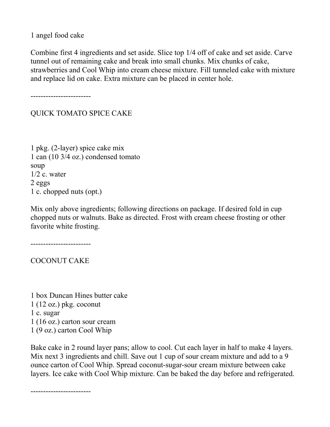1 angel food cake

Combine first 4 ingredients and set aside. Slice top 1/4 off of cake and set aside. Carve tunnel out of remaining cake and break into small chunks. Mix chunks of cake, strawberries and Cool Whip into cream cheese mixture. Fill tunneled cake with mixture and replace lid on cake. Extra mixture can be placed in center hole.

------------------------

QUICK TOMATO SPICE CAKE

1 pkg. (2-layer) spice cake mix 1 can (10 3/4 oz.) condensed tomato soup  $1/2$  c. water 2 eggs 1 c. chopped nuts (opt.)

Mix only above ingredients; following directions on package. If desired fold in cup chopped nuts or walnuts. Bake as directed. Frost with cream cheese frosting or other favorite white frosting.

------------------------

COCONUT CAKE

1 box Duncan Hines butter cake 1 (12 oz.) pkg. coconut 1 c. sugar 1 (16 oz.) carton sour cream 1 (9 oz.) carton Cool Whip

Bake cake in 2 round layer pans; allow to cool. Cut each layer in half to make 4 layers. Mix next 3 ingredients and chill. Save out 1 cup of sour cream mixture and add to a 9 ounce carton of Cool Whip. Spread coconut-sugar-sour cream mixture between cake layers. Ice cake with Cool Whip mixture. Can be baked the day before and refrigerated.

------------------------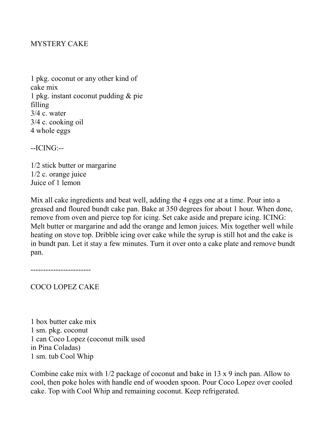# MYSTERY CAKE

1 pkg. coconut or any other kind of cake mix 1 pkg. instant coconut pudding & pie filling 3/4 c. water 3/4 c. cooking oil 4 whole eggs

--ICING:--

1/2 stick butter or margarine 1/2 c. orange juice Juice of 1 lemon

Mix all cake ingredients and beat well, adding the 4 eggs one at a time. Pour into a greased and floured bundt cake pan. Bake at 350 degrees for about 1 hour. When done, remove from oven and pierce top for icing. Set cake aside and prepare icing. ICING: Melt butter or margarine and add the orange and lemon juices. Mix together well while heating on stove top. Dribble icing over cake while the syrup is still hot and the cake is in bundt pan. Let it stay a few minutes. Turn it over onto a cake plate and remove bundt pan.

------------------------

COCO LOPEZ CAKE

1 box butter cake mix 1 sm. pkg. coconut 1 can Coco Lopez (coconut milk used in Pina Coladas) 1 sm. tub Cool Whip

Combine cake mix with 1/2 package of coconut and bake in 13 x 9 inch pan. Allow to cool, then poke holes with handle end of wooden spoon. Pour Coco Lopez over cooled cake. Top with Cool Whip and remaining coconut. Keep refrigerated.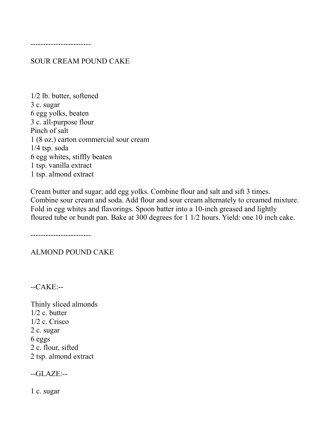------------------------

SOUR CREAM POUND CAKE

1/2 lb. butter, softened 3 c. sugar 6 egg yolks, beaten 3 c. all-purpose flour Pinch of salt 1 (8 oz.) carton commercial sour cream 1/4 tsp. soda 6 egg whites, stiffly beaten 1 tsp. vanilla extract 1 tsp. almond extract

Cream butter and sugar; add egg yolks. Combine flour and salt and sift 3 times. Combine sour cream and soda. Add flour and sour cream alternately to creamed mixture. Fold in egg whites and flavorings. Spoon batter into a 10-inch greased and lightly floured tube or bundt pan. Bake at 300 degrees for 1 1/2 hours. Yield: one 10 inch cake.

------------------------

ALMOND POUND CAKE

--CAKE:--

Thinly sliced almonds 1/2 c. butter 1/2 c. Crisco 2 c. sugar 6 eggs 2 c. flour, sifted 2 tsp. almond extract

--GLAZE:--

1 c. sugar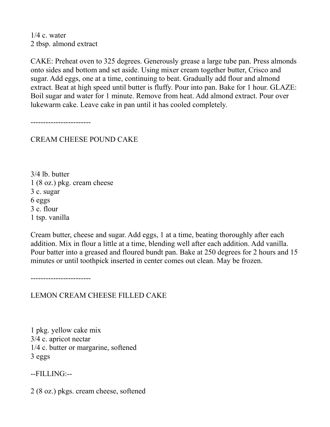$1/4$  c. water 2 tbsp. almond extract

CAKE: Preheat oven to 325 degrees. Generously grease a large tube pan. Press almonds onto sides and bottom and set aside. Using mixer cream together butter, Crisco and sugar. Add eggs, one at a time, continuing to beat. Gradually add flour and almond extract. Beat at high speed until butter is fluffy. Pour into pan. Bake for 1 hour. GLAZE: Boil sugar and water for 1 minute. Remove from heat. Add almond extract. Pour over lukewarm cake. Leave cake in pan until it has cooled completely.

------------------------

CREAM CHEESE POUND CAKE

3/4 lb. butter 1 (8 oz.) pkg. cream cheese 3 c. sugar 6 eggs 3 c. flour 1 tsp. vanilla

Cream butter, cheese and sugar. Add eggs, 1 at a time, beating thoroughly after each addition. Mix in flour a little at a time, blending well after each addition. Add vanilla. Pour batter into a greased and floured bundt pan. Bake at 250 degrees for 2 hours and 15 minutes or until toothpick inserted in center comes out clean. May be frozen.

------------------------

LEMON CREAM CHEESE FILLED CAKE

1 pkg. yellow cake mix 3/4 c. apricot nectar 1/4 c. butter or margarine, softened 3 eggs

--FILLING:--

2 (8 oz.) pkgs. cream cheese, softened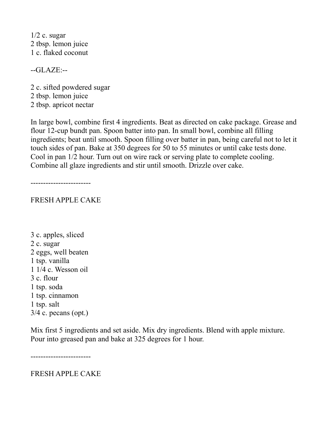$1/2$  c. sugar 2 tbsp. lemon juice 1 c. flaked coconut

--GLAZE:--

2 c. sifted powdered sugar 2 tbsp. lemon juice 2 tbsp. apricot nectar

In large bowl, combine first 4 ingredients. Beat as directed on cake package. Grease and flour 12-cup bundt pan. Spoon batter into pan. In small bowl, combine all filling ingredients; beat until smooth. Spoon filling over batter in pan, being careful not to let it touch sides of pan. Bake at 350 degrees for 50 to 55 minutes or until cake tests done. Cool in pan 1/2 hour. Turn out on wire rack or serving plate to complete cooling. Combine all glaze ingredients and stir until smooth. Drizzle over cake.

------------------------

# FRESH APPLE CAKE

3 c. apples, sliced 2 c. sugar 2 eggs, well beaten 1 tsp. vanilla 1 1/4 c. Wesson oil 3 c. flour 1 tsp. soda 1 tsp. cinnamon 1 tsp. salt  $3/4$  c. pecans (opt.)

Mix first 5 ingredients and set aside. Mix dry ingredients. Blend with apple mixture. Pour into greased pan and bake at 325 degrees for 1 hour.

------------------------

FRESH APPLE CAKE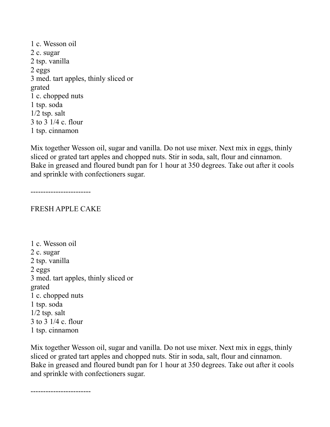1 c. Wesson oil 2 c. sugar 2 tsp. vanilla 2 eggs 3 med. tart apples, thinly sliced or grated 1 c. chopped nuts 1 tsp. soda 1/2 tsp. salt 3 to 3 1/4 c. flour 1 tsp. cinnamon

Mix together Wesson oil, sugar and vanilla. Do not use mixer. Next mix in eggs, thinly sliced or grated tart apples and chopped nuts. Stir in soda, salt, flour and cinnamon. Bake in greased and floured bundt pan for 1 hour at 350 degrees. Take out after it cools and sprinkle with confectioners sugar.

------------------------

#### FRESH APPLE CAKE

1 c. Wesson oil 2 c. sugar 2 tsp. vanilla 2 eggs 3 med. tart apples, thinly sliced or grated 1 c. chopped nuts 1 tsp. soda  $1/2$  tsp. salt 3 to 3 1/4 c. flour 1 tsp. cinnamon

Mix together Wesson oil, sugar and vanilla. Do not use mixer. Next mix in eggs, thinly sliced or grated tart apples and chopped nuts. Stir in soda, salt, flour and cinnamon. Bake in greased and floured bundt pan for 1 hour at 350 degrees. Take out after it cools and sprinkle with confectioners sugar.

------------------------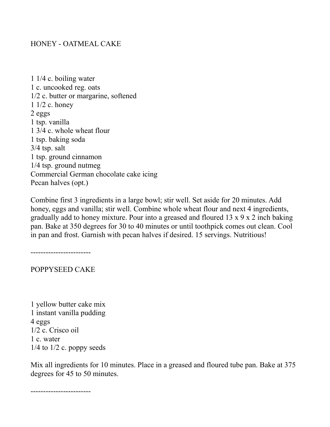# HONEY - OATMEAL CAKE

1 1/4 c. boiling water 1 c. uncooked reg. oats 1/2 c. butter or margarine, softened 1 1/2 c. honey 2 eggs 1 tsp. vanilla 1 3/4 c. whole wheat flour 1 tsp. baking soda 3/4 tsp. salt 1 tsp. ground cinnamon 1/4 tsp. ground nutmeg Commercial German chocolate cake icing Pecan halves (opt.)

Combine first 3 ingredients in a large bowl; stir well. Set aside for 20 minutes. Add honey, eggs and vanilla; stir well. Combine whole wheat flour and next 4 ingredients, gradually add to honey mixture. Pour into a greased and floured 13 x 9 x 2 inch baking pan. Bake at 350 degrees for 30 to 40 minutes or until toothpick comes out clean. Cool in pan and frost. Garnish with pecan halves if desired. 15 servings. Nutritious!

------------------------

POPPYSEED CAKE

1 yellow butter cake mix 1 instant vanilla pudding 4 eggs 1/2 c. Crisco oil 1 c. water  $1/4$  to  $1/2$  c. poppy seeds

Mix all ingredients for 10 minutes. Place in a greased and floured tube pan. Bake at 375 degrees for 45 to 50 minutes.

------------------------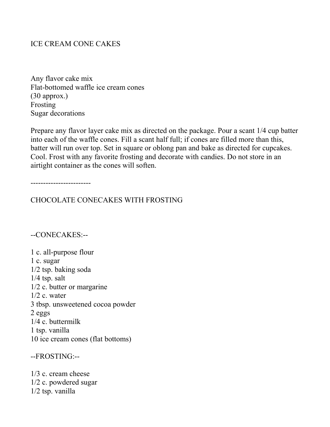# ICE CREAM CONE CAKES

Any flavor cake mix Flat-bottomed waffle ice cream cones (30 approx.) Frosting Sugar decorations

Prepare any flavor layer cake mix as directed on the package. Pour a scant 1/4 cup batter into each of the waffle cones. Fill a scant half full; if cones are filled more than this, batter will run over top. Set in square or oblong pan and bake as directed for cupcakes. Cool. Frost with any favorite frosting and decorate with candies. Do not store in an airtight container as the cones will soften.

------------------------

CHOCOLATE CONECAKES WITH FROSTING

#### --CONECAKES:--

1 c. all-purpose flour 1 c. sugar 1/2 tsp. baking soda 1/4 tsp. salt 1/2 c. butter or margarine  $1/2$  c. water 3 tbsp. unsweetened cocoa powder 2 eggs 1/4 c. buttermilk 1 tsp. vanilla 10 ice cream cones (flat bottoms)

--FROSTING:--

1/3 c. cream cheese 1/2 c. powdered sugar 1/2 tsp. vanilla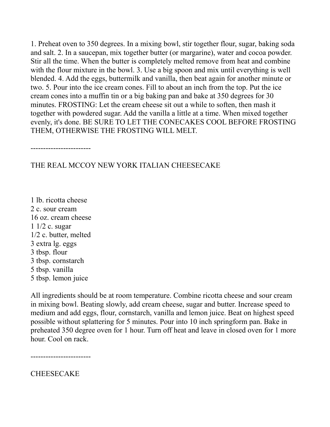1. Preheat oven to 350 degrees. In a mixing bowl, stir together flour, sugar, baking soda and salt. 2. In a saucepan, mix together butter (or margarine), water and cocoa powder. Stir all the time. When the butter is completely melted remove from heat and combine with the flour mixture in the bowl. 3. Use a big spoon and mix until everything is well blended. 4. Add the eggs, buttermilk and vanilla, then beat again for another minute or two. 5. Pour into the ice cream cones. Fill to about an inch from the top. Put the ice cream cones into a muffin tin or a big baking pan and bake at 350 degrees for 30 minutes. FROSTING: Let the cream cheese sit out a while to soften, then mash it together with powdered sugar. Add the vanilla a little at a time. When mixed together evenly, it's done. BE SURE TO LET THE CONECAKES COOL BEFORE FROSTING THEM, OTHERWISE THE FROSTING WILL MELT.

------------------------

# THE REAL MCCOY NEW YORK ITALIAN CHEESECAKE

1 lb. ricotta cheese 2 c. sour cream 16 oz. cream cheese 1 1/2 c. sugar 1/2 c. butter, melted 3 extra lg. eggs 3 tbsp. flour 3 tbsp. cornstarch 5 tbsp. vanilla 5 tbsp. lemon juice

All ingredients should be at room temperature. Combine ricotta cheese and sour cream in mixing bowl. Beating slowly, add cream cheese, sugar and butter. Increase speed to medium and add eggs, flour, cornstarch, vanilla and lemon juice. Beat on highest speed possible without splattering for 5 minutes. Pour into 10 inch springform pan. Bake in preheated 350 degree oven for 1 hour. Turn off heat and leave in closed oven for 1 more hour. Cool on rack.

------------------------

**CHEESECAKE**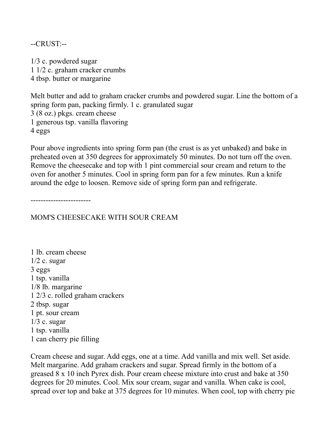--CRUST:--

1/3 c. powdered sugar 1 1/2 c. graham cracker crumbs 4 tbsp. butter or margarine

Melt butter and add to graham cracker crumbs and powdered sugar. Line the bottom of a spring form pan, packing firmly. 1 c. granulated sugar 3 (8 oz.) pkgs. cream cheese 1 generous tsp. vanilla flavoring 4 eggs

Pour above ingredients into spring form pan (the crust is as yet unbaked) and bake in preheated oven at 350 degrees for approximately 50 minutes. Do not turn off the oven. Remove the cheesecake and top with 1 pint commercial sour cream and return to the oven for another 5 minutes. Cool in spring form pan for a few minutes. Run a knife around the edge to loosen. Remove side of spring form pan and refrigerate.

------------------------

MOM'S CHEESECAKE WITH SOUR CREAM

1 lb. cream cheese  $1/2$  c. sugar 3 eggs 1 tsp. vanilla 1/8 lb. margarine 1 2/3 c. rolled graham crackers 2 tbsp. sugar 1 pt. sour cream  $1/3$  c. sugar 1 tsp. vanilla 1 can cherry pie filling

Cream cheese and sugar. Add eggs, one at a time. Add vanilla and mix well. Set aside. Melt margarine. Add graham crackers and sugar. Spread firmly in the bottom of a greased 8 x 10 inch Pyrex dish. Pour cream cheese mixture into crust and bake at 350 degrees for 20 minutes. Cool. Mix sour cream, sugar and vanilla. When cake is cool, spread over top and bake at 375 degrees for 10 minutes. When cool, top with cherry pie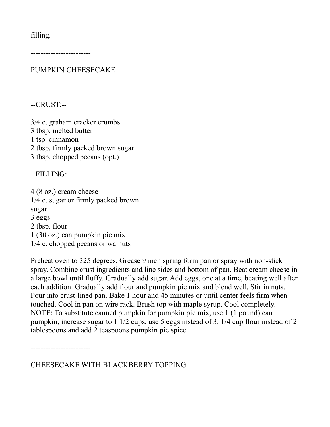filling.

------------------------

PUMPKIN CHEESECAKE

--CRUST:--

3/4 c. graham cracker crumbs 3 tbsp. melted butter 1 tsp. cinnamon 2 tbsp. firmly packed brown sugar 3 tbsp. chopped pecans (opt.)

--FILLING:--

4 (8 oz.) cream cheese 1/4 c. sugar or firmly packed brown sugar 3 eggs 2 tbsp. flour 1 (30 oz.) can pumpkin pie mix 1/4 c. chopped pecans or walnuts

Preheat oven to 325 degrees. Grease 9 inch spring form pan or spray with non-stick spray. Combine crust ingredients and line sides and bottom of pan. Beat cream cheese in a large bowl until fluffy. Gradually add sugar. Add eggs, one at a time, beating well after each addition. Gradually add flour and pumpkin pie mix and blend well. Stir in nuts. Pour into crust-lined pan. Bake 1 hour and 45 minutes or until center feels firm when touched. Cool in pan on wire rack. Brush top with maple syrup. Cool completely. NOTE: To substitute canned pumpkin for pumpkin pie mix, use 1 (1 pound) can pumpkin, increase sugar to 1 1/2 cups, use 5 eggs instead of 3, 1/4 cup flour instead of 2 tablespoons and add 2 teaspoons pumpkin pie spice.

------------------------

CHEESECAKE WITH BLACKBERRY TOPPING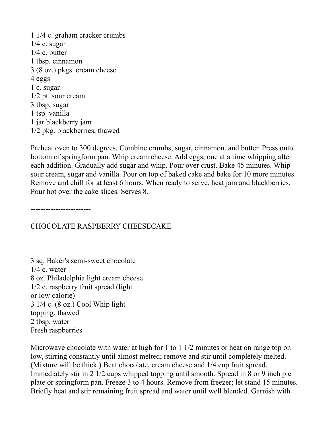1 1/4 c. graham cracker crumbs  $1/4$  c. sugar 1/4 c. butter 1 tbsp. cinnamon 3 (8 oz.) pkgs. cream cheese 4 eggs 1 c. sugar 1/2 pt. sour cream 3 tbsp. sugar 1 tsp. vanilla 1 jar blackberry jam 1/2 pkg. blackberries, thawed

Preheat oven to 300 degrees. Combine crumbs, sugar, cinnamon, and butter. Press onto bottom of springform pan. Whip cream cheese. Add eggs, one at a time whipping after each addition. Gradually add sugar and whip. Pour over crust. Bake 45 minutes. Whip sour cream, sugar and vanilla. Pour on top of baked cake and bake for 10 more minutes. Remove and chill for at least 6 hours. When ready to serve, heat jam and blackberries. Pour hot over the cake slices. Serves 8.

------------------------

CHOCOLATE RASPBERRY CHEESECAKE

3 sq. Baker's semi-sweet chocolate  $1/4$  c. water 8 oz. Philadelphia light cream cheese 1/2 c. raspberry fruit spread (light or low calorie) 3 1/4 c. (8 oz.) Cool Whip light topping, thawed 2 tbsp. water Fresh raspberries

Microwave chocolate with water at high for 1 to 1 1/2 minutes or heat on range top on low, stirring constantly until almost melted; remove and stir until completely melted. (Mixture will be thick.) Beat chocolate, cream cheese and 1/4 cup fruit spread. Immediately stir in 2 1/2 cups whipped topping until smooth. Spread in 8 or 9 inch pie plate or springform pan. Freeze 3 to 4 hours. Remove from freezer; let stand 15 minutes. Briefly heat and stir remaining fruit spread and water until well blended. Garnish with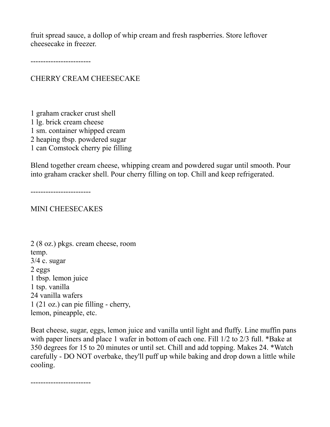fruit spread sauce, a dollop of whip cream and fresh raspberries. Store leftover cheesecake in freezer.

------------------------

CHERRY CREAM CHEESECAKE

1 graham cracker crust shell 1 lg. brick cream cheese 1 sm. container whipped cream 2 heaping tbsp. powdered sugar 1 can Comstock cherry pie filling

Blend together cream cheese, whipping cream and powdered sugar until smooth. Pour into graham cracker shell. Pour cherry filling on top. Chill and keep refrigerated.

------------------------

#### MINI CHEESECAKES

2 (8 oz.) pkgs. cream cheese, room temp. 3/4 c. sugar 2 eggs 1 tbsp. lemon juice 1 tsp. vanilla 24 vanilla wafers 1 (21 oz.) can pie filling - cherry, lemon, pineapple, etc.

Beat cheese, sugar, eggs, lemon juice and vanilla until light and fluffy. Line muffin pans with paper liners and place 1 wafer in bottom of each one. Fill  $1/2$  to  $2/3$  full. \*Bake at 350 degrees for 15 to 20 minutes or until set. Chill and add topping. Makes 24. \*Watch carefully - DO NOT overbake, they'll puff up while baking and drop down a little while cooling.

------------------------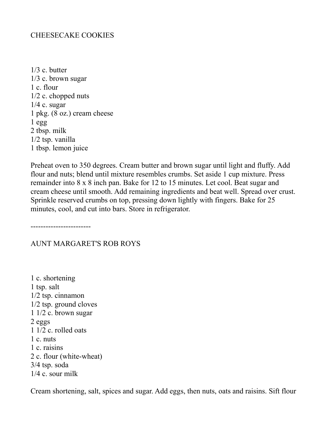## CHEESECAKE COOKIES

1/3 c. butter 1/3 c. brown sugar 1 c. flour 1/2 c. chopped nuts  $1/4$  c. sugar 1 pkg. (8 oz.) cream cheese  $1$  egg 2 tbsp. milk 1/2 tsp. vanilla 1 tbsp. lemon juice

Preheat oven to 350 degrees. Cream butter and brown sugar until light and fluffy. Add flour and nuts; blend until mixture resembles crumbs. Set aside 1 cup mixture. Press remainder into 8 x 8 inch pan. Bake for 12 to 15 minutes. Let cool. Beat sugar and cream cheese until smooth. Add remaining ingredients and beat well. Spread over crust. Sprinkle reserved crumbs on top, pressing down lightly with fingers. Bake for 25 minutes, cool, and cut into bars. Store in refrigerator.

------------------------

#### AUNT MARGARET'S ROB ROYS

1 c. shortening 1 tsp. salt 1/2 tsp. cinnamon 1/2 tsp. ground cloves 1 1/2 c. brown sugar 2 eggs 1 1/2 c. rolled oats 1 c. nuts 1 c. raisins 2 c. flour (white-wheat) 3/4 tsp. soda 1/4 c. sour milk

Cream shortening, salt, spices and sugar. Add eggs, then nuts, oats and raisins. Sift flour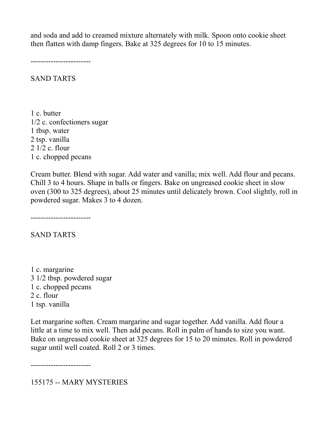and soda and add to creamed mixture alternately with milk. Spoon onto cookie sheet then flatten with damp fingers. Bake at 325 degrees for 10 to 15 minutes.

------------------------

SAND TARTS

1 c. butter 1/2 c. confectioners sugar 1 tbsp. water 2 tsp. vanilla 2 1/2 c. flour 1 c. chopped pecans

Cream butter. Blend with sugar. Add water and vanilla; mix well. Add flour and pecans. Chill 3 to 4 hours. Shape in balls or fingers. Bake on ungreased cookie sheet in slow oven (300 to 325 degrees), about 25 minutes until delicately brown. Cool slightly, roll in powdered sugar. Makes 3 to 4 dozen.

------------------------

SAND TARTS

1 c. margarine 3 1/2 tbsp. powdered sugar 1 c. chopped pecans 2 c. flour 1 tsp. vanilla

Let margarine soften. Cream margarine and sugar together. Add vanilla. Add flour a little at a time to mix well. Then add pecans. Roll in palm of hands to size you want. Bake on ungreased cookie sheet at 325 degrees for 15 to 20 minutes. Roll in powdered sugar until well coated. Roll 2 or 3 times.

------------------------

155175 -- MARY MYSTERIES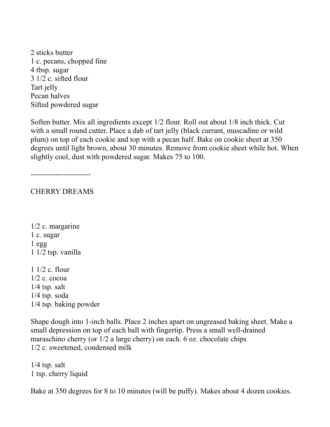2 sticks butter 1 c. pecans, chopped fine 4 tbsp. sugar 3 1/2 c. sifted flour Tart jelly Pecan halves Sifted powdered sugar

Soften butter. Mix all ingredients except 1/2 flour. Roll out about 1/8 inch thick. Cut with a small round cutter. Place a dab of tart jelly (black currant, muscadine or wild plum) on top of each cookie and top with a pecan half. Bake on cookie sheet at 350 degrees until light brown, about 30 minutes. Remove from cookie sheet while hot. When slightly cool, dust with powdered sugar. Makes 75 to 100.

------------------------

CHERRY DREAMS

1/2 c. margarine 1 c. sugar 1 egg 1 1/2 tsp. vanilla

1 1/2 c. flour 1/2 c. cocoa  $1/4$  tsp. salt 1/4 tsp. soda 1/4 tsp. baking powder

Shape dough into 1-inch balls. Place 2 inches apart on ungreased baking sheet. Make a small depression on top of each ball with fingertip. Press a small well-drained maraschino cherry (or 1/2 a large cherry) on each. 6 oz. chocolate chips 1/2 c. sweetened, condensed milk

 $1/4$  tsp. salt 1 tsp. cherry liquid

Bake at 350 degrees for 8 to 10 minutes (will be puffy). Makes about 4 dozen cookies.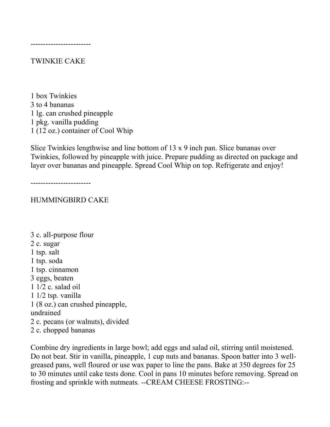#### TWINKIE CAKE

1 box Twinkies 3 to 4 bananas 1 lg. can crushed pineapple 1 pkg. vanilla pudding 1 (12 oz.) container of Cool Whip

Slice Twinkies lengthwise and line bottom of 13 x 9 inch pan. Slice bananas over Twinkies, followed by pineapple with juice. Prepare pudding as directed on package and layer over bananas and pineapple. Spread Cool Whip on top. Refrigerate and enjoy!

------------------------

#### HUMMINGBIRD CAKE

3 c. all-purpose flour 2 c. sugar 1 tsp. salt 1 tsp. soda 1 tsp. cinnamon 3 eggs, beaten 1 1/2 c. salad oil 1 1/2 tsp. vanilla 1 (8 oz.) can crushed pineapple, undrained 2 c. pecans (or walnuts), divided 2 c. chopped bananas

Combine dry ingredients in large bowl; add eggs and salad oil, stirring until moistened. Do not beat. Stir in vanilla, pineapple, 1 cup nuts and bananas. Spoon batter into 3 wellgreased pans, well floured or use wax paper to line the pans. Bake at 350 degrees for 25 to 30 minutes until cake tests done. Cool in pans 10 minutes before removing. Spread on frosting and sprinkle with nutmeats. --CREAM CHEESE FROSTING:--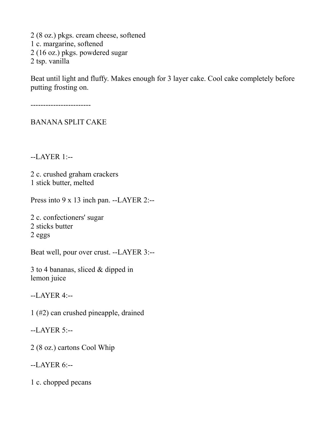2 (8 oz.) pkgs. cream cheese, softened 1 c. margarine, softened 2 (16 oz.) pkgs. powdered sugar 2 tsp. vanilla

Beat until light and fluffy. Makes enough for 3 layer cake. Cool cake completely before putting frosting on.

------------------------

BANANA SPLIT CAKE

--LAYER 1:--

2 c. crushed graham crackers 1 stick butter, melted

Press into 9 x 13 inch pan. --LAYER 2:--

2 c. confectioners' sugar 2 sticks butter 2 eggs

Beat well, pour over crust. --LAYER 3:--

3 to 4 bananas, sliced & dipped in lemon juice

--LAYER 4:--

1 (#2) can crushed pineapple, drained

--LAYER 5:--

2 (8 oz.) cartons Cool Whip

--LAYER 6:--

1 c. chopped pecans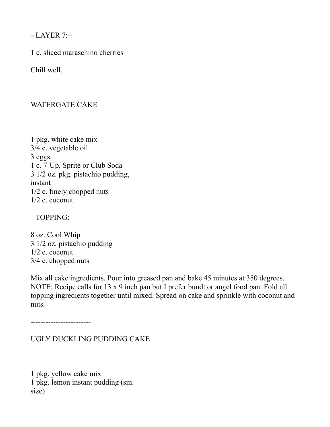--LAYER 7:--

1 c. sliced maraschino cherries

Chill well.

------------------------

# WATERGATE CAKE

1 pkg. white cake mix 3/4 c. vegetable oil 3 eggs 1 c. 7-Up, Sprite or Club Soda 3 1/2 oz. pkg. pistachio pudding, instant 1/2 c. finely chopped nuts 1/2 c. coconut

--TOPPING:--

8 oz. Cool Whip 3 1/2 oz. pistachio pudding 1/2 c. coconut 3/4 c. chopped nuts

Mix all cake ingredients. Pour into greased pan and bake 45 minutes at 350 degrees. NOTE: Recipe calls for 13 x 9 inch pan but I prefer bundt or angel food pan. Fold all topping ingredients together until mixed. Spread on cake and sprinkle with coconut and nuts.

------------------------

UGLY DUCKLING PUDDING CAKE

1 pkg. yellow cake mix 1 pkg. lemon instant pudding (sm. size)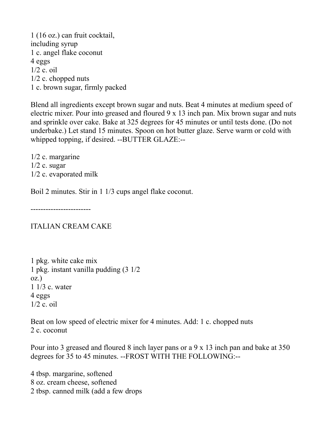1 (16 oz.) can fruit cocktail, including syrup 1 c. angel flake coconut 4 eggs  $1/2$  c. oil 1/2 c. chopped nuts 1 c. brown sugar, firmly packed

Blend all ingredients except brown sugar and nuts. Beat 4 minutes at medium speed of electric mixer. Pour into greased and floured 9 x 13 inch pan. Mix brown sugar and nuts and sprinkle over cake. Bake at 325 degrees for 45 minutes or until tests done. (Do not underbake.) Let stand 15 minutes. Spoon on hot butter glaze. Serve warm or cold with whipped topping, if desired. --BUTTER GLAZE:--

1/2 c. margarine  $1/2$  c. sugar 1/2 c. evaporated milk

Boil 2 minutes. Stir in 1 1/3 cups angel flake coconut.

------------------------

ITALIAN CREAM CAKE

1 pkg. white cake mix 1 pkg. instant vanilla pudding (3 1/2 oz.) 1 1/3 c. water 4 eggs 1/2 c. oil

Beat on low speed of electric mixer for 4 minutes. Add: 1 c. chopped nuts 2 c. coconut

Pour into 3 greased and floured 8 inch layer pans or a 9 x 13 inch pan and bake at 350 degrees for 35 to 45 minutes. --FROST WITH THE FOLLOWING:--

4 tbsp. margarine, softened 8 oz. cream cheese, softened 2 tbsp. canned milk (add a few drops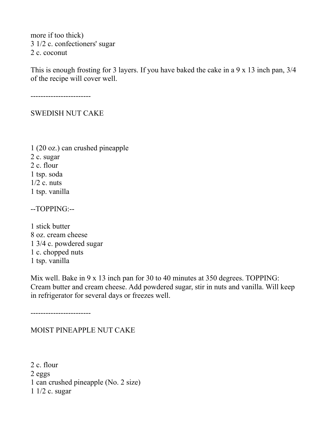more if too thick) 3 1/2 c. confectioners' sugar 2 c. coconut

This is enough frosting for 3 layers. If you have baked the cake in a 9 x 13 inch pan, 3/4 of the recipe will cover well.

------------------------

SWEDISH NUT CAKE

1 (20 oz.) can crushed pineapple 2 c. sugar 2 c. flour 1 tsp. soda  $1/2$  c. nuts 1 tsp. vanilla

--TOPPING:--

1 stick butter 8 oz. cream cheese 1 3/4 c. powdered sugar 1 c. chopped nuts 1 tsp. vanilla

Mix well. Bake in 9 x 13 inch pan for 30 to 40 minutes at 350 degrees. TOPPING: Cream butter and cream cheese. Add powdered sugar, stir in nuts and vanilla. Will keep in refrigerator for several days or freezes well.

------------------------

#### MOIST PINEAPPLE NUT CAKE

2 c. flour 2 eggs 1 can crushed pineapple (No. 2 size) 1 1/2 c. sugar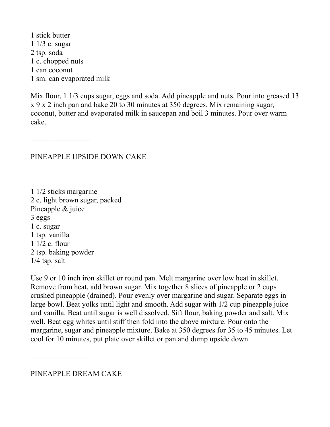1 stick butter 1 1/3 c. sugar 2 tsp. soda 1 c. chopped nuts 1 can coconut 1 sm. can evaporated milk

Mix flour, 1 1/3 cups sugar, eggs and soda. Add pineapple and nuts. Pour into greased 13 x 9 x 2 inch pan and bake 20 to 30 minutes at 350 degrees. Mix remaining sugar, coconut, butter and evaporated milk in saucepan and boil 3 minutes. Pour over warm cake.

------------------------

## PINEAPPLE UPSIDE DOWN CAKE

1 1/2 sticks margarine 2 c. light brown sugar, packed Pineapple & juice 3 eggs 1 c. sugar 1 tsp. vanilla 1 1/2 c. flour 2 tsp. baking powder 1/4 tsp. salt

Use 9 or 10 inch iron skillet or round pan. Melt margarine over low heat in skillet. Remove from heat, add brown sugar. Mix together 8 slices of pineapple or 2 cups crushed pineapple (drained). Pour evenly over margarine and sugar. Separate eggs in large bowl. Beat yolks until light and smooth. Add sugar with 1/2 cup pineapple juice and vanilla. Beat until sugar is well dissolved. Sift flour, baking powder and salt. Mix well. Beat egg whites until stiff then fold into the above mixture. Pour onto the margarine, sugar and pineapple mixture. Bake at 350 degrees for 35 to 45 minutes. Let cool for 10 minutes, put plate over skillet or pan and dump upside down.

------------------------

PINEAPPLE DREAM CAKE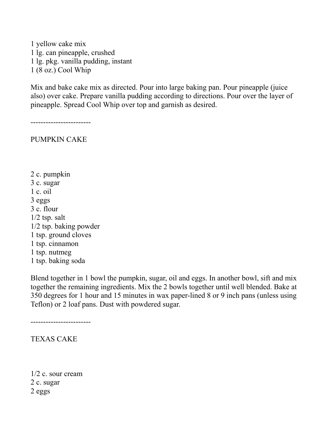1 yellow cake mix 1 lg. can pineapple, crushed 1 lg. pkg. vanilla pudding, instant 1 (8 oz.) Cool Whip

Mix and bake cake mix as directed. Pour into large baking pan. Pour pineapple (juice also) over cake. Prepare vanilla pudding according to directions. Pour over the layer of pineapple. Spread Cool Whip over top and garnish as desired.

------------------------

PUMPKIN CAKE

- 2 c. pumpkin
- 3 c. sugar
- 1 c. oil
- 3 eggs
- 3 c. flour
- $1/2$  tsp. salt
- 1/2 tsp. baking powder
- 1 tsp. ground cloves
- 1 tsp. cinnamon
- 1 tsp. nutmeg
- 1 tsp. baking soda

Blend together in 1 bowl the pumpkin, sugar, oil and eggs. In another bowl, sift and mix together the remaining ingredients. Mix the 2 bowls together until well blended. Bake at 350 degrees for 1 hour and 15 minutes in wax paper-lined 8 or 9 inch pans (unless using Teflon) or 2 loaf pans. Dust with powdered sugar.

------------------------

TEXAS CAKE

1/2 c. sour cream 2 c. sugar 2 eggs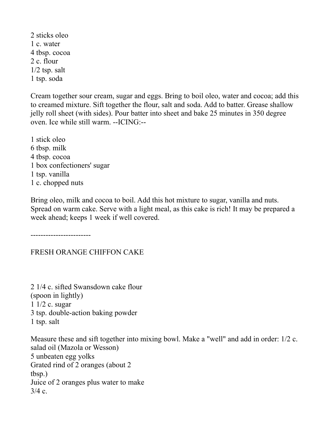2 sticks oleo 1 c. water 4 tbsp. cocoa 2 c. flour  $1/2$  tsp. salt 1 tsp. soda

Cream together sour cream, sugar and eggs. Bring to boil oleo, water and cocoa; add this to creamed mixture. Sift together the flour, salt and soda. Add to batter. Grease shallow jelly roll sheet (with sides). Pour batter into sheet and bake 25 minutes in 350 degree oven. Ice while still warm. --ICING:--

1 stick oleo 6 tbsp. milk 4 tbsp. cocoa 1 box confectioners' sugar 1 tsp. vanilla 1 c. chopped nuts

Bring oleo, milk and cocoa to boil. Add this hot mixture to sugar, vanilla and nuts. Spread on warm cake. Serve with a light meal, as this cake is rich! It may be prepared a week ahead; keeps 1 week if well covered.

------------------------

# FRESH ORANGE CHIFFON CAKE

2 1/4 c. sifted Swansdown cake flour (spoon in lightly) 1 1/2 c. sugar 3 tsp. double-action baking powder 1 tsp. salt

Measure these and sift together into mixing bowl. Make a "well" and add in order: 1/2 c. salad oil (Mazola or Wesson) 5 unbeaten egg yolks Grated rind of 2 oranges (about 2 tbsp.) Juice of 2 oranges plus water to make  $3/4$  c.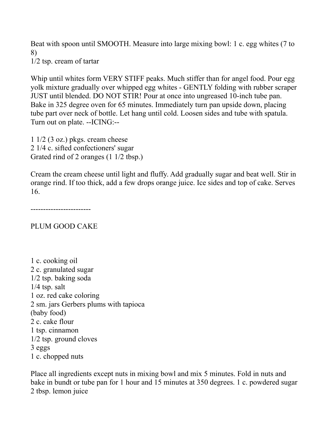Beat with spoon until SMOOTH. Measure into large mixing bowl: 1 c. egg whites (7 to 8) 1/2 tsp. cream of tartar

Whip until whites form VERY STIFF peaks. Much stiffer than for angel food. Pour egg yolk mixture gradually over whipped egg whites - GENTLY folding with rubber scraper JUST until blended. DO NOT STIR! Pour at once into ungreased 10-inch tube pan. Bake in 325 degree oven for 65 minutes. Immediately turn pan upside down, placing tube part over neck of bottle. Let hang until cold. Loosen sides and tube with spatula. Turn out on plate. --ICING:--

 $1\frac{1}{2}$  (3 oz.) pkgs. cream cheese 2 1/4 c. sifted confectioners' sugar Grated rind of 2 oranges (1 1/2 tbsp.)

Cream the cream cheese until light and fluffy. Add gradually sugar and beat well. Stir in orange rind. If too thick, add a few drops orange juice. Ice sides and top of cake. Serves 16.

------------------------

PLUM GOOD CAKE

1 c. cooking oil 2 c. granulated sugar 1/2 tsp. baking soda  $1/4$  tsp. salt 1 oz. red cake coloring 2 sm. jars Gerbers plums with tapioca (baby food) 2 c. cake flour 1 tsp. cinnamon 1/2 tsp. ground cloves 3 eggs 1 c. chopped nuts

Place all ingredients except nuts in mixing bowl and mix 5 minutes. Fold in nuts and bake in bundt or tube pan for 1 hour and 15 minutes at 350 degrees. 1 c. powdered sugar 2 tbsp. lemon juice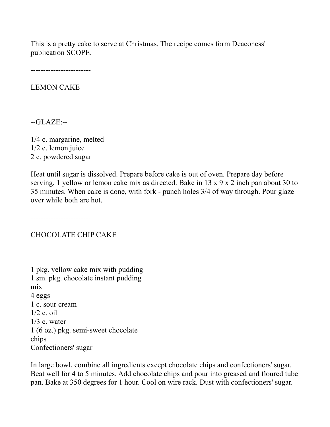This is a pretty cake to serve at Christmas. The recipe comes form Deaconess' publication SCOPE.

------------------------

LEMON CAKE

--GLAZE:--

1/4 c. margarine, melted 1/2 c. lemon juice 2 c. powdered sugar

Heat until sugar is dissolved. Prepare before cake is out of oven. Prepare day before serving, 1 yellow or lemon cake mix as directed. Bake in 13 x 9 x 2 inch pan about 30 to 35 minutes. When cake is done, with fork - punch holes 3/4 of way through. Pour glaze over while both are hot.

------------------------

CHOCOLATE CHIP CAKE

1 pkg. yellow cake mix with pudding 1 sm. pkg. chocolate instant pudding mix 4 eggs 1 c. sour cream  $1/2$  c. oil  $1/3$  c. water 1 (6 oz.) pkg. semi-sweet chocolate chips Confectioners' sugar

In large bowl, combine all ingredients except chocolate chips and confectioners' sugar. Beat well for 4 to 5 minutes. Add chocolate chips and pour into greased and floured tube pan. Bake at 350 degrees for 1 hour. Cool on wire rack. Dust with confectioners' sugar.